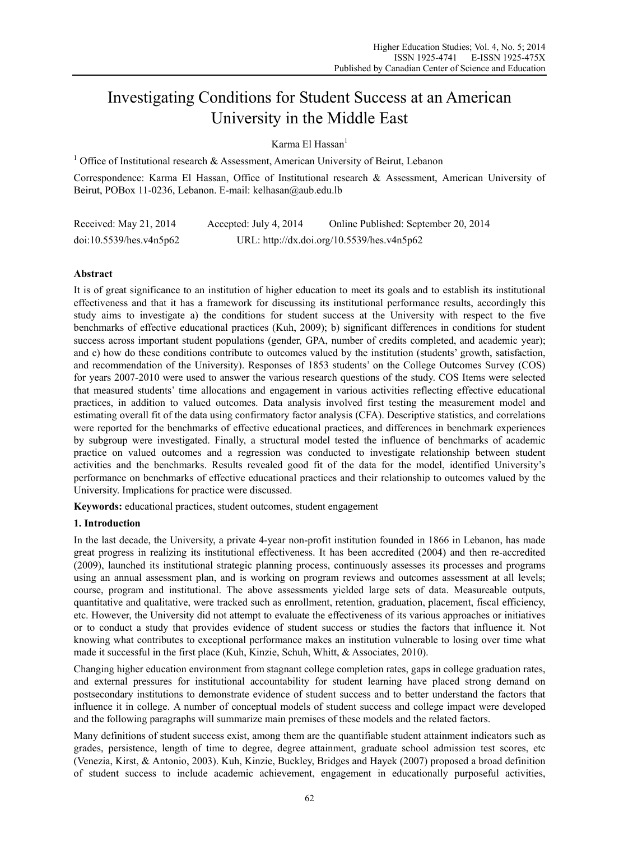# Investigating Conditions for Student Success at an American University in the Middle East

Karma El Hassan $<sup>1</sup>$ </sup>

<sup>1</sup> Office of Institutional research & Assessment, American University of Beirut, Lebanon

Correspondence: Karma El Hassan, Office of Institutional research & Assessment, American University of Beirut, POBox 11-0236, Lebanon. E-mail: kelhasan@aub.edu.lb

| Received: May 21, 2014  | Accepted: July 4, 2014 | Online Published: September 20, 2014       |
|-------------------------|------------------------|--------------------------------------------|
| doi:10.5539/hes.v4n5p62 |                        | URL: http://dx.doi.org/10.5539/hes.v4n5p62 |

# **Abstract**

It is of great significance to an institution of higher education to meet its goals and to establish its institutional effectiveness and that it has a framework for discussing its institutional performance results, accordingly this study aims to investigate a) the conditions for student success at the University with respect to the five benchmarks of effective educational practices (Kuh, 2009); b) significant differences in conditions for student success across important student populations (gender, GPA, number of credits completed, and academic year); and c) how do these conditions contribute to outcomes valued by the institution (students' growth, satisfaction, and recommendation of the University). Responses of 1853 students' on the College Outcomes Survey (COS) for years 2007-2010 were used to answer the various research questions of the study. COS Items were selected that measured students' time allocations and engagement in various activities reflecting effective educational practices, in addition to valued outcomes. Data analysis involved first testing the measurement model and estimating overall fit of the data using confirmatory factor analysis (CFA). Descriptive statistics, and correlations were reported for the benchmarks of effective educational practices, and differences in benchmark experiences by subgroup were investigated. Finally, a structural model tested the influence of benchmarks of academic practice on valued outcomes and a regression was conducted to investigate relationship between student activities and the benchmarks. Results revealed good fit of the data for the model, identified University's performance on benchmarks of effective educational practices and their relationship to outcomes valued by the University. Implications for practice were discussed.

**Keywords:** educational practices, student outcomes, student engagement

# **1. Introduction**

In the last decade, the University, a private 4-year non-profit institution founded in 1866 in Lebanon, has made great progress in realizing its institutional effectiveness. It has been accredited (2004) and then re-accredited (2009), launched its institutional strategic planning process, continuously assesses its processes and programs using an annual assessment plan, and is working on program reviews and outcomes assessment at all levels; course, program and institutional. The above assessments yielded large sets of data. Measureable outputs, quantitative and qualitative, were tracked such as enrollment, retention, graduation, placement, fiscal efficiency, etc. However, the University did not attempt to evaluate the effectiveness of its various approaches or initiatives or to conduct a study that provides evidence of student success or studies the factors that influence it. Not knowing what contributes to exceptional performance makes an institution vulnerable to losing over time what made it successful in the first place (Kuh, Kinzie, Schuh, Whitt, & Associates, 2010).

Changing higher education environment from stagnant college completion rates, gaps in college graduation rates, and external pressures for institutional accountability for student learning have placed strong demand on postsecondary institutions to demonstrate evidence of student success and to better understand the factors that influence it in college. A number of conceptual models of student success and college impact were developed and the following paragraphs will summarize main premises of these models and the related factors.

Many definitions of student success exist, among them are the quantifiable student attainment indicators such as grades, persistence, length of time to degree, degree attainment, graduate school admission test scores, etc (Venezia, Kirst, & Antonio, 2003). Kuh, Kinzie, Buckley, Bridges and Hayek (2007) proposed a broad definition of student success to include academic achievement, engagement in educationally purposeful activities,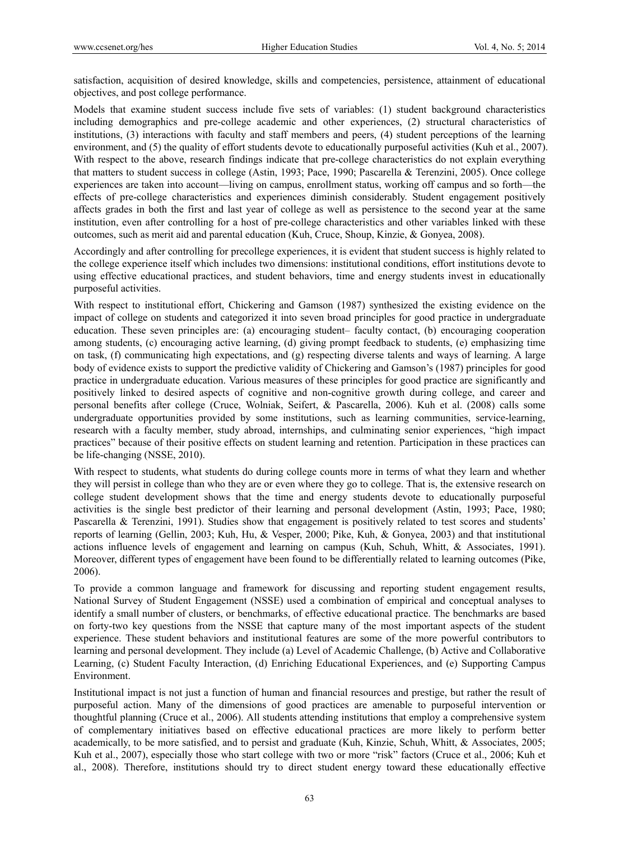satisfaction, acquisition of desired knowledge, skills and competencies, persistence, attainment of educational objectives, and post college performance.

Models that examine student success include five sets of variables: (1) student background characteristics including demographics and pre-college academic and other experiences, (2) structural characteristics of institutions, (3) interactions with faculty and staff members and peers, (4) student perceptions of the learning environment, and (5) the quality of effort students devote to educationally purposeful activities (Kuh et al., 2007). With respect to the above, research findings indicate that pre-college characteristics do not explain everything that matters to student success in college (Astin, 1993; Pace, 1990; Pascarella & Terenzini, 2005). Once college experiences are taken into account—living on campus, enrollment status, working off campus and so forth—the effects of pre-college characteristics and experiences diminish considerably. Student engagement positively affects grades in both the first and last year of college as well as persistence to the second year at the same institution, even after controlling for a host of pre-college characteristics and other variables linked with these outcomes, such as merit aid and parental education (Kuh, Cruce, Shoup, Kinzie, & Gonyea, 2008).

Accordingly and after controlling for precollege experiences, it is evident that student success is highly related to the college experience itself which includes two dimensions: institutional conditions, effort institutions devote to using effective educational practices, and student behaviors, time and energy students invest in educationally purposeful activities.

With respect to institutional effort, Chickering and Gamson (1987) synthesized the existing evidence on the impact of college on students and categorized it into seven broad principles for good practice in undergraduate education. These seven principles are: (a) encouraging student– faculty contact, (b) encouraging cooperation among students, (c) encouraging active learning, (d) giving prompt feedback to students, (e) emphasizing time on task, (f) communicating high expectations, and (g) respecting diverse talents and ways of learning. A large body of evidence exists to support the predictive validity of Chickering and Gamson's (1987) principles for good practice in undergraduate education. Various measures of these principles for good practice are significantly and positively linked to desired aspects of cognitive and non-cognitive growth during college, and career and personal benefits after college (Cruce, Wolniak, Seifert, & Pascarella, 2006). Kuh et al. (2008) calls some undergraduate opportunities provided by some institutions, such as learning communities, service-learning, research with a faculty member, study abroad, internships, and culminating senior experiences, "high impact practices" because of their positive effects on student learning and retention. Participation in these practices can be life-changing (NSSE, 2010).

With respect to students, what students do during college counts more in terms of what they learn and whether they will persist in college than who they are or even where they go to college. That is, the extensive research on college student development shows that the time and energy students devote to educationally purposeful activities is the single best predictor of their learning and personal development (Astin, 1993; Pace, 1980; Pascarella & Terenzini, 1991). Studies show that engagement is positively related to test scores and students' reports of learning (Gellin, 2003; Kuh, Hu, & Vesper, 2000; Pike, Kuh, & Gonyea, 2003) and that institutional actions influence levels of engagement and learning on campus (Kuh, Schuh, Whitt, & Associates, 1991). Moreover, different types of engagement have been found to be differentially related to learning outcomes (Pike, 2006).

To provide a common language and framework for discussing and reporting student engagement results, National Survey of Student Engagement (NSSE) used a combination of empirical and conceptual analyses to identify a small number of clusters, or benchmarks, of effective educational practice. The benchmarks are based on forty-two key questions from the NSSE that capture many of the most important aspects of the student experience. These student behaviors and institutional features are some of the more powerful contributors to learning and personal development. They include (a) Level of Academic Challenge, (b) Active and Collaborative Learning, (c) Student Faculty Interaction, (d) Enriching Educational Experiences, and (e) Supporting Campus Environment.

Institutional impact is not just a function of human and financial resources and prestige, but rather the result of purposeful action. Many of the dimensions of good practices are amenable to purposeful intervention or thoughtful planning (Cruce et al., 2006). All students attending institutions that employ a comprehensive system of complementary initiatives based on effective educational practices are more likely to perform better academically, to be more satisfied, and to persist and graduate (Kuh, Kinzie, Schuh, Whitt, & Associates, 2005; Kuh et al., 2007), especially those who start college with two or more "risk" factors (Cruce et al., 2006; Kuh et al., 2008). Therefore, institutions should try to direct student energy toward these educationally effective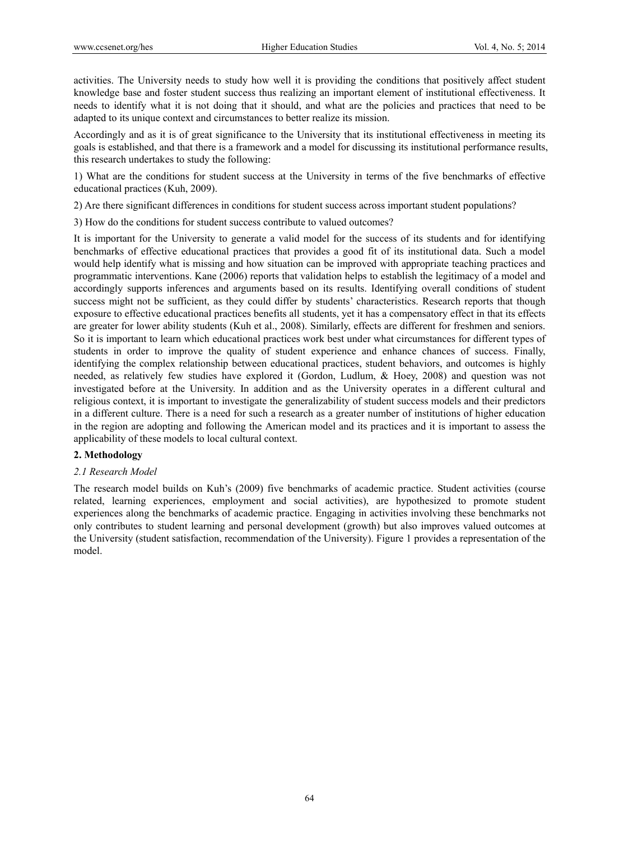activities. The University needs to study how well it is providing the conditions that positively affect student knowledge base and foster student success thus realizing an important element of institutional effectiveness. It needs to identify what it is not doing that it should, and what are the policies and practices that need to be adapted to its unique context and circumstances to better realize its mission.

Accordingly and as it is of great significance to the University that its institutional effectiveness in meeting its goals is established, and that there is a framework and a model for discussing its institutional performance results, this research undertakes to study the following:

1) What are the conditions for student success at the University in terms of the five benchmarks of effective educational practices (Kuh, 2009).

2) Are there significant differences in conditions for student success across important student populations?

3) How do the conditions for student success contribute to valued outcomes?

It is important for the University to generate a valid model for the success of its students and for identifying benchmarks of effective educational practices that provides a good fit of its institutional data. Such a model would help identify what is missing and how situation can be improved with appropriate teaching practices and programmatic interventions. Kane (2006) reports that validation helps to establish the legitimacy of a model and accordingly supports inferences and arguments based on its results. Identifying overall conditions of student success might not be sufficient, as they could differ by students' characteristics. Research reports that though exposure to effective educational practices benefits all students, yet it has a compensatory effect in that its effects are greater for lower ability students (Kuh et al., 2008). Similarly, effects are different for freshmen and seniors. So it is important to learn which educational practices work best under what circumstances for different types of students in order to improve the quality of student experience and enhance chances of success. Finally, identifying the complex relationship between educational practices, student behaviors, and outcomes is highly needed, as relatively few studies have explored it (Gordon, Ludlum, & Hoey, 2008) and question was not investigated before at the University. In addition and as the University operates in a different cultural and religious context, it is important to investigate the generalizability of student success models and their predictors in a different culture. There is a need for such a research as a greater number of institutions of higher education in the region are adopting and following the American model and its practices and it is important to assess the applicability of these models to local cultural context.

## **2. Methodology**

#### *2.1 Research Model*

The research model builds on Kuh's (2009) five benchmarks of academic practice. Student activities (course related, learning experiences, employment and social activities), are hypothesized to promote student experiences along the benchmarks of academic practice. Engaging in activities involving these benchmarks not only contributes to student learning and personal development (growth) but also improves valued outcomes at the University (student satisfaction, recommendation of the University). Figure 1 provides a representation of the model.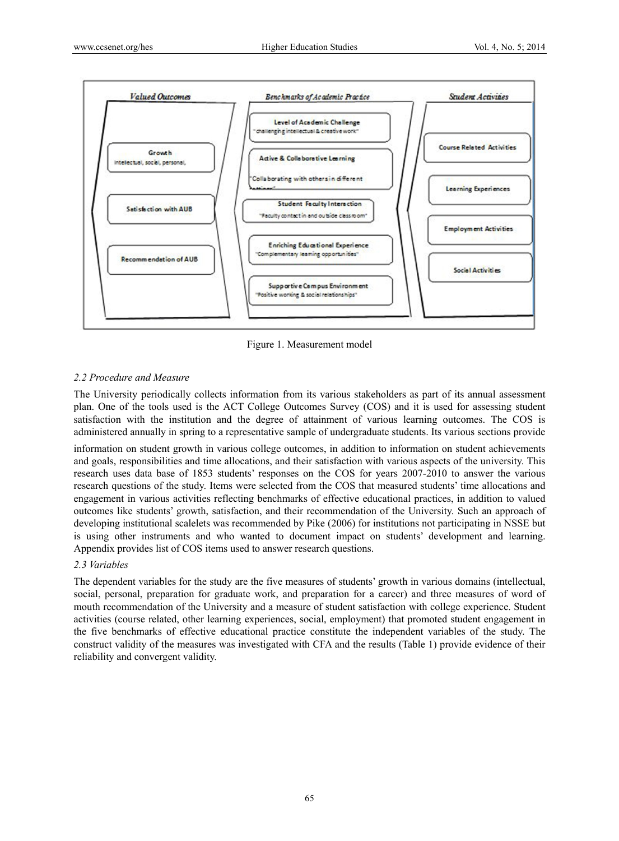

Figure 1. Measurement model

# *2.2 Procedure and Measure*

The University periodically collects information from its various stakeholders as part of its annual assessment plan. One of the tools used is the ACT College Outcomes Survey (COS) and it is used for assessing student satisfaction with the institution and the degree of attainment of various learning outcomes. The COS is administered annually in spring to a representative sample of undergraduate students. Its various sections provide

information on student growth in various college outcomes, in addition to information on student achievements and goals, responsibilities and time allocations, and their satisfaction with various aspects of the university. This research uses data base of 1853 students' responses on the COS for years 2007-2010 to answer the various research questions of the study. Items were selected from the COS that measured students' time allocations and engagement in various activities reflecting benchmarks of effective educational practices, in addition to valued outcomes like students' growth, satisfaction, and their recommendation of the University. Such an approach of developing institutional scalelets was recommended by Pike (2006) for institutions not participating in NSSE but is using other instruments and who wanted to document impact on students' development and learning. Appendix provides list of COS items used to answer research questions.

# *2.3 Variables*

The dependent variables for the study are the five measures of students' growth in various domains (intellectual, social, personal, preparation for graduate work, and preparation for a career) and three measures of word of mouth recommendation of the University and a measure of student satisfaction with college experience. Student activities (course related, other learning experiences, social, employment) that promoted student engagement in the five benchmarks of effective educational practice constitute the independent variables of the study. The construct validity of the measures was investigated with CFA and the results (Table 1) provide evidence of their reliability and convergent validity.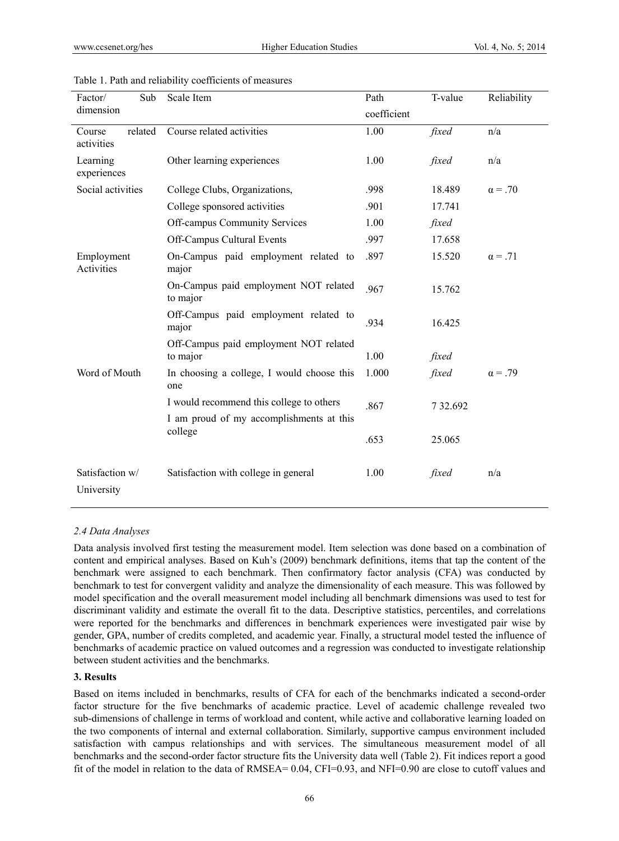| Factor/                  | Sub     | Scale Item                                         | Path        | Reliability<br>T-value |                |  |  |  |
|--------------------------|---------|----------------------------------------------------|-------------|------------------------|----------------|--|--|--|
| dimension                |         |                                                    | coefficient |                        |                |  |  |  |
| Course<br>activities     | related | Course related activities                          | 1.00        | fixed                  | n/a            |  |  |  |
| Learning<br>experiences  |         | Other learning experiences                         | 1.00        | fixed                  | n/a            |  |  |  |
| Social activities        |         | College Clubs, Organizations,                      | .998        | 18.489                 | $\alpha = .70$ |  |  |  |
|                          |         | College sponsored activities                       | .901        | 17.741                 |                |  |  |  |
|                          |         | Off-campus Community Services                      | 1.00        | fixed                  |                |  |  |  |
|                          |         | Off-Campus Cultural Events                         | .997        | 17.658                 |                |  |  |  |
| Employment<br>Activities |         | On-Campus paid employment related to<br>major      | .897        | 15.520                 | $\alpha = .71$ |  |  |  |
|                          |         | On-Campus paid employment NOT related<br>to major  | .967        | 15.762                 |                |  |  |  |
|                          |         | Off-Campus paid employment related to<br>major     | .934        |                        |                |  |  |  |
|                          |         | Off-Campus paid employment NOT related<br>to major | 1.00        | fixed                  |                |  |  |  |
| Word of Mouth            |         | In choosing a college, I would choose this<br>one  | 1.000       | fixed                  | $\alpha = .79$ |  |  |  |
|                          |         | I would recommend this college to others           | .867        | 7 32.692               |                |  |  |  |
|                          |         | I am proud of my accomplishments at this           |             |                        |                |  |  |  |
|                          |         | college                                            | .653        | 25.065                 |                |  |  |  |
| Satisfaction w/          |         | Satisfaction with college in general               | 1.00        | fixed                  | n/a            |  |  |  |
| University               |         |                                                    |             |                        |                |  |  |  |

#### Table 1. Path and reliability coefficients of measures

## *2.4 Data Analyses*

Data analysis involved first testing the measurement model. Item selection was done based on a combination of content and empirical analyses. Based on Kuh's (2009) benchmark definitions, items that tap the content of the benchmark were assigned to each benchmark. Then confirmatory factor analysis (CFA) was conducted by benchmark to test for convergent validity and analyze the dimensionality of each measure. This was followed by model specification and the overall measurement model including all benchmark dimensions was used to test for discriminant validity and estimate the overall fit to the data. Descriptive statistics, percentiles, and correlations were reported for the benchmarks and differences in benchmark experiences were investigated pair wise by gender, GPA, number of credits completed, and academic year. Finally, a structural model tested the influence of benchmarks of academic practice on valued outcomes and a regression was conducted to investigate relationship between student activities and the benchmarks.

## **3. Results**

Based on items included in benchmarks, results of CFA for each of the benchmarks indicated a second-order factor structure for the five benchmarks of academic practice. Level of academic challenge revealed two sub-dimensions of challenge in terms of workload and content, while active and collaborative learning loaded on the two components of internal and external collaboration. Similarly, supportive campus environment included satisfaction with campus relationships and with services. The simultaneous measurement model of all benchmarks and the second-order factor structure fits the University data well (Table 2). Fit indices report a good fit of the model in relation to the data of RMSEA= 0.04, CFI=0.93, and NFI=0.90 are close to cutoff values and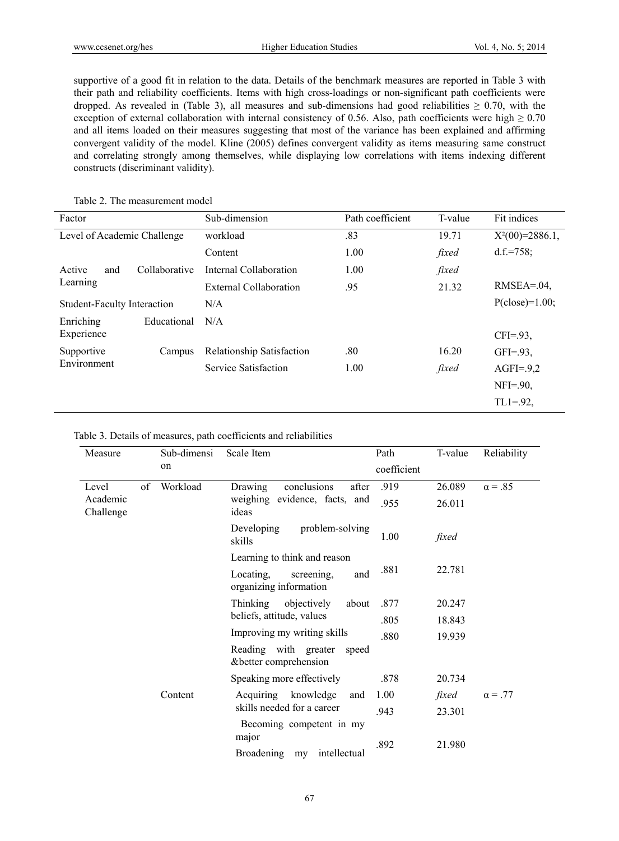supportive of a good fit in relation to the data. Details of the benchmark measures are reported in Table 3 with their path and reliability coefficients. Items with high cross-loadings or non-significant path coefficients were dropped. As revealed in (Table 3), all measures and sub-dimensions had good reliabilities  $\geq 0.70$ , with the exception of external collaboration with internal consistency of 0.56. Also, path coefficients were high  $\geq 0.70$ and all items loaded on their measures suggesting that most of the variance has been explained and affirming convergent validity of the model. Kline (2005) defines convergent validity as items measuring same construct and correlating strongly among themselves, while displaying low correlations with items indexing different constructs (discriminant validity).

| Factor                         | Sub-dimension             | Path coefficient | T-value | Fit indices     |  |  |
|--------------------------------|---------------------------|------------------|---------|-----------------|--|--|
| Level of Academic Challenge    | workload                  | .83              | 19.71   |                 |  |  |
|                                | Content                   | 1.00             | fixed   | $d.f.=758;$     |  |  |
| Active<br>Collaborative<br>and | Internal Collaboration    | 1.00             | fixed   |                 |  |  |
| Learning                       | External Collaboration    | .95<br>21.32     |         | $RMSEA = .04$ , |  |  |
| Student-Faculty Interaction    | $P(close)=1.00;$<br>N/A   |                  |         |                 |  |  |
| Enriching<br>Educational       | N/A                       |                  |         |                 |  |  |
| Experience                     |                           |                  |         | $CFI = .93$ ,   |  |  |
| Supportive<br>Campus           | Relationship Satisfaction | .80              | 16.20   | $GFI = .93$ ,   |  |  |
| Environment                    | Service Satisfaction      | 1.00             | fixed   | $AGFI = 9,2$    |  |  |
|                                |                           |                  |         | $NFI = .90$ ,   |  |  |
|                                |                           |                  |         | $TL1 = .92$ ,   |  |  |

# Table 2. The measurement model

| Measure               |    | Sub-dimensi | Scale Item                                               | Path        | T-value | Reliability    |
|-----------------------|----|-------------|----------------------------------------------------------|-------------|---------|----------------|
|                       |    | on          |                                                          | coefficient |         |                |
| Level                 | of | Workload    | Drawing<br>conclusions<br>after                          | .919        | 26.089  | $\alpha = .85$ |
| Academic<br>Challenge |    |             | weighing evidence, facts, and<br>ideas                   | .955        | 26.011  |                |
|                       |    |             | problem-solving<br>Developing<br>skills                  | 1.00        | fixed   |                |
|                       |    |             | Learning to think and reason                             |             |         |                |
|                       |    |             | Locating,<br>screening,<br>and<br>organizing information | .881        | 22.781  |                |
|                       |    |             | Thinking<br>objectively<br>about                         | .877        | 20.247  |                |
|                       |    |             | beliefs, attitude, values                                | .805        | 18.843  |                |
|                       |    |             | Improving my writing skills                              | .880        | 19.939  |                |
|                       |    |             | Reading with greater<br>speed<br>& better comprehension  |             |         |                |
|                       |    |             | Speaking more effectively                                | .878        | 20.734  |                |
|                       |    | Content     | Acquiring knowledge<br>and                               | 1.00        | fixed   | $\alpha = .77$ |
|                       |    |             | skills needed for a career                               | .943        | 23.301  |                |
|                       |    |             | Becoming competent in my<br>major                        | .892        | 21.980  |                |
|                       |    |             | <b>Broadening</b><br>intellectual<br>my                  |             |         |                |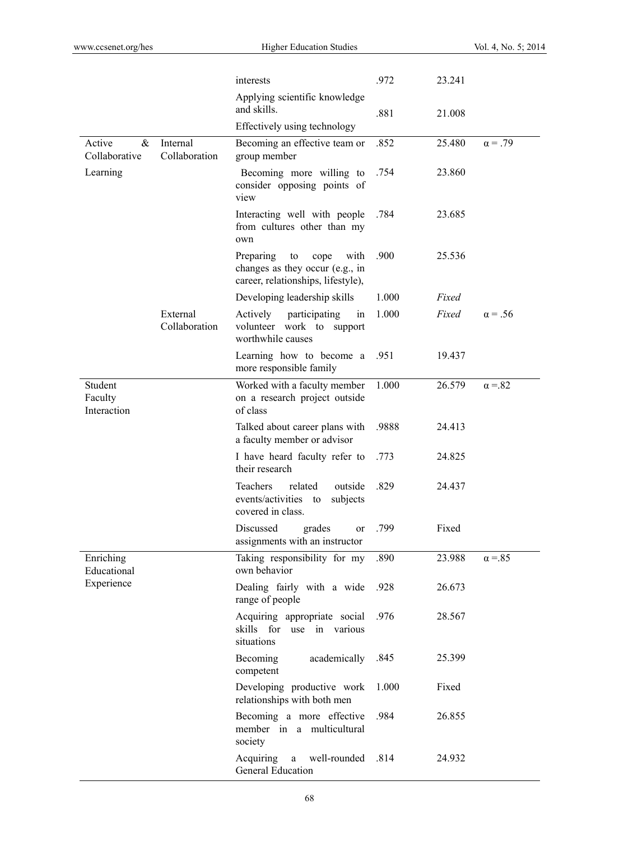|                                   |                           | interests                                                                                                | .972  | 23.241 |                |
|-----------------------------------|---------------------------|----------------------------------------------------------------------------------------------------------|-------|--------|----------------|
|                                   |                           | Applying scientific knowledge<br>and skills.                                                             | .881  | 21.008 |                |
|                                   |                           | Effectively using technology                                                                             |       |        |                |
| Active<br>&<br>Collaborative      | Internal<br>Collaboration | Becoming an effective team or<br>group member                                                            | .852  | 25.480 | $\alpha = .79$ |
| Learning                          |                           | Becoming more willing to<br>consider opposing points of<br>view                                          | .754  | 23.860 |                |
|                                   |                           | Interacting well with people<br>from cultures other than my<br>own                                       | .784  | 23.685 |                |
|                                   |                           | Preparing<br>with<br>to<br>cope<br>changes as they occur (e.g., in<br>career, relationships, lifestyle), | .900  | 25.536 |                |
|                                   |                           | Developing leadership skills                                                                             | 1.000 | Fixed  |                |
|                                   | External<br>Collaboration | Actively<br>participating<br>in<br>volunteer work to support<br>worthwhile causes                        | 1.000 | Fixed  | $\alpha = .56$ |
|                                   |                           | Learning how to become a<br>more responsible family                                                      | .951  | 19.437 |                |
| Student<br>Faculty<br>Interaction |                           | Worked with a faculty member<br>on a research project outside<br>of class                                | 1.000 | 26.579 | $\alpha = 82$  |
|                                   |                           | Talked about career plans with<br>a faculty member or advisor                                            | .9888 | 24.413 |                |
|                                   |                           | I have heard faculty refer to<br>their research                                                          | .773  | 24.825 |                |
|                                   |                           | Teachers<br>related<br>outside<br>events/activities to<br>subjects<br>covered in class.                  | .829  | 24.437 |                |
|                                   |                           | Discussed<br>grades<br>or<br>assignments with an instructor                                              | .799  | Fixed  |                |
| Enriching<br>Educational          |                           | Taking responsibility for my<br>own behavior                                                             | .890  | 23.988 | $\alpha = 85$  |
| Experience                        |                           | Dealing fairly with a wide<br>range of people                                                            | .928  | 26.673 |                |
|                                   |                           | Acquiring appropriate social<br>skills for<br>use<br>in various<br>situations                            | .976  | 28.567 |                |
|                                   |                           | academically<br>Becoming<br>competent                                                                    | .845  | 25.399 |                |
|                                   |                           | Developing productive work<br>relationships with both men                                                | 1.000 | Fixed  |                |
|                                   |                           | Becoming a more effective<br>member in a multicultural<br>society                                        | .984  | 26.855 |                |
|                                   |                           | well-rounded<br>Acquiring<br>a<br>General Education                                                      | .814  | 24.932 |                |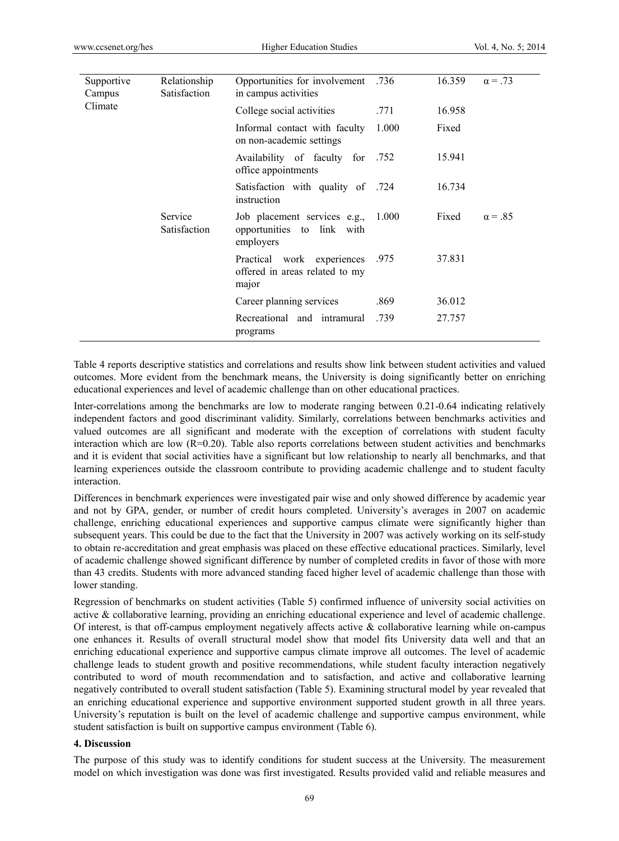| Supportive<br>Campus | Relationship<br>Satisfaction | Opportunities for involvement<br>in campus activities                   | .736  | 16.359         | $\alpha = .73$ |
|----------------------|------------------------------|-------------------------------------------------------------------------|-------|----------------|----------------|
| Climate              |                              | College social activities                                               | .771  | 16.958         |                |
|                      |                              | Informal contact with faculty<br>on non-academic settings               | 1.000 | Fixed          |                |
|                      |                              | Availability of faculty for .752<br>office appointments                 |       | 15.941         |                |
|                      |                              | 724. Satisfaction with quality of<br>instruction                        |       | 16.734         |                |
|                      | Service<br>Satisfaction      | Job placement services e.g.,<br>opportunities to link with<br>employers | Fixed | $\alpha = .85$ |                |
|                      |                              | Practical work experiences<br>offered in areas related to my<br>major   | .975  | 37.831         |                |
|                      |                              | Career planning services                                                | .869  | 36.012         |                |
|                      |                              | Recreational and intramural<br>programs                                 | .739  | 27.757         |                |

Table 4 reports descriptive statistics and correlations and results show link between student activities and valued outcomes. More evident from the benchmark means, the University is doing significantly better on enriching educational experiences and level of academic challenge than on other educational practices.

Inter-correlations among the benchmarks are low to moderate ranging between 0.21-0.64 indicating relatively independent factors and good discriminant validity. Similarly, correlations between benchmarks activities and valued outcomes are all significant and moderate with the exception of correlations with student faculty interaction which are low  $(R=0.20)$ . Table also reports correlations between student activities and benchmarks and it is evident that social activities have a significant but low relationship to nearly all benchmarks, and that learning experiences outside the classroom contribute to providing academic challenge and to student faculty interaction.

Differences in benchmark experiences were investigated pair wise and only showed difference by academic year and not by GPA, gender, or number of credit hours completed. University's averages in 2007 on academic challenge, enriching educational experiences and supportive campus climate were significantly higher than subsequent years. This could be due to the fact that the University in 2007 was actively working on its self-study to obtain re-accreditation and great emphasis was placed on these effective educational practices. Similarly, level of academic challenge showed significant difference by number of completed credits in favor of those with more than 43 credits. Students with more advanced standing faced higher level of academic challenge than those with lower standing.

Regression of benchmarks on student activities (Table 5) confirmed influence of university social activities on active & collaborative learning, providing an enriching educational experience and level of academic challenge. Of interest, is that off-campus employment negatively affects active  $\&$  collaborative learning while on-campus one enhances it. Results of overall structural model show that model fits University data well and that an enriching educational experience and supportive campus climate improve all outcomes. The level of academic challenge leads to student growth and positive recommendations, while student faculty interaction negatively contributed to word of mouth recommendation and to satisfaction, and active and collaborative learning negatively contributed to overall student satisfaction (Table 5). Examining structural model by year revealed that an enriching educational experience and supportive environment supported student growth in all three years. University's reputation is built on the level of academic challenge and supportive campus environment, while student satisfaction is built on supportive campus environment (Table 6).

# **4. Discussion**

The purpose of this study was to identify conditions for student success at the University. The measurement model on which investigation was done was first investigated. Results provided valid and reliable measures and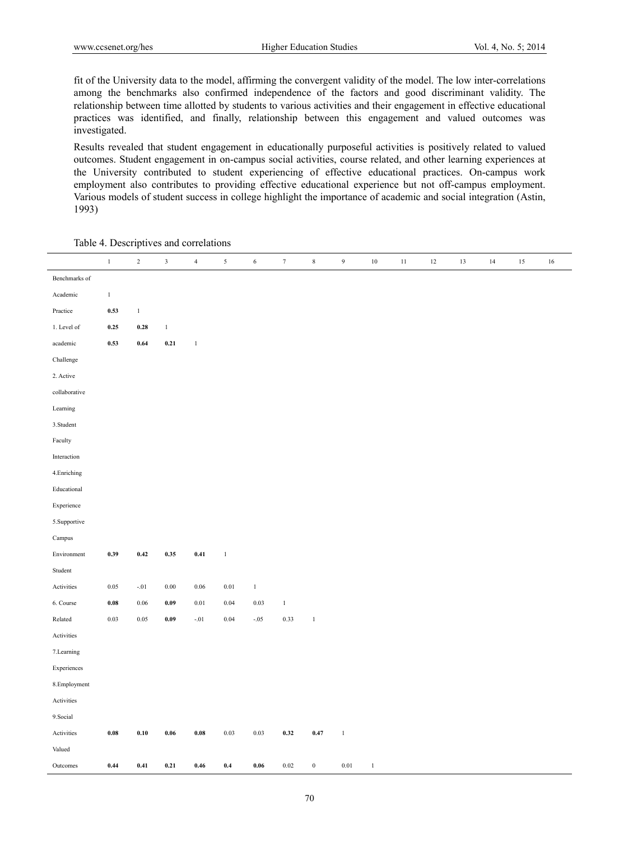fit of the University data to the model, affirming the convergent validity of the model. The low inter-correlations among the benchmarks also confirmed independence of the factors and good discriminant validity. The relationship between time allotted by students to various activities and their engagement in effective educational practices was identified, and finally, relationship between this engagement and valued outcomes was investigated.

Results revealed that student engagement in educationally purposeful activities is positively related to valued outcomes. Student engagement in on-campus social activities, course related, and other learning experiences at the University contributed to student experiencing of effective educational practices. On-campus work employment also contributes to providing effective educational experience but not off-campus employment. Various models of student success in college highlight the importance of academic and social integration (Astin, 1993)

 1 2 3 4 5 6 7 8 9 10 11 12 13 14 15 16 Benchmarks of Academic Practice 1. Level of academic Challenge 2. Active collaborative Learning 3.Student Faculty Interaction 4.Enriching Educational Experience 5.Supportive Campus Environment 1 **0.53** 1 **0.25 0.28** 1 **0.53 0.64 0.21** 1 **0.39 0.42 0.35 0.41** 1 Student Activities 6. Course Related Activities 7.Learning Experiences 8.Employment Activities 9.Social Activities 0.05 -.01 0.00 0.06 0.01 1 **0.08** 0.06 **0.09** 0.01 0.04 0.03 1 0.03 0.05 **0.09** -.01 0.04 -.05 0.33 1 **0.08 0.10 0.06 0.08** 0.03 0.03 **0.32 0.47** 1 Valued Outcomes **0.44 0.41 0.21 0.46 0.4 0.06** 0.02 0 0.01 1

Table 4. Descriptives and correlations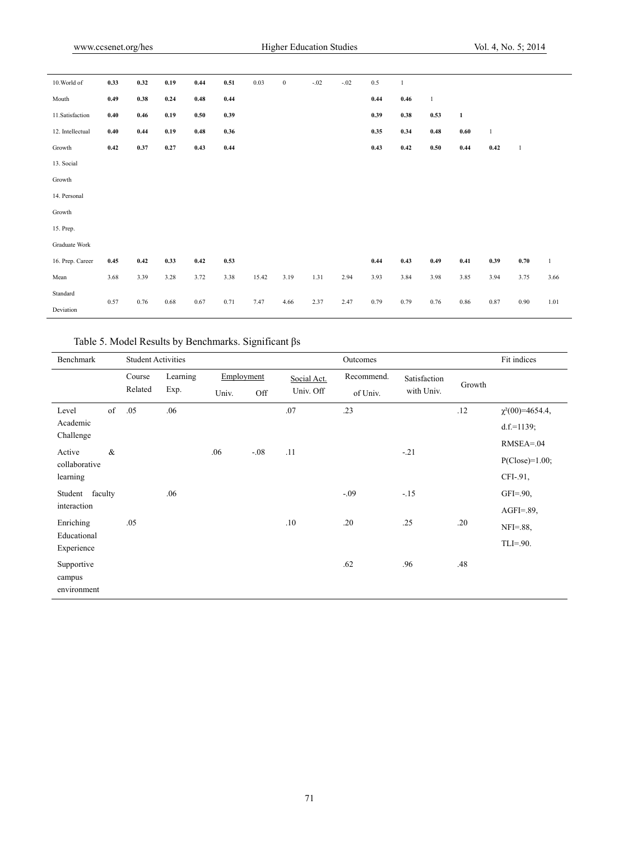| 10. World of     | 0.33 | 0.32 | 0.19 | 0.44       | 0.51 | 0.03  | $\boldsymbol{0}$ | $-.02$ | $-.02$ | 0.5  | 1          |              |              |              |              |              |
|------------------|------|------|------|------------|------|-------|------------------|--------|--------|------|------------|--------------|--------------|--------------|--------------|--------------|
| Mouth            | 0.49 | 0.38 | 0.24 | $\bf 0.48$ | 0.44 |       |                  |        |        | 0.44 | $\bf 0.46$ | $\mathbf{1}$ |              |              |              |              |
| 11. Satisfaction | 0.40 | 0.46 | 0.19 | 0.50       | 0.39 |       |                  |        |        | 0.39 | 0.38       | 0.53         | $\mathbf{1}$ |              |              |              |
| 12. Intellectual | 0.40 | 0.44 | 0.19 | $\bf 0.48$ | 0.36 |       |                  |        |        | 0.35 | 0.34       | 0.48         | $0.60\,$     | $\mathbf{1}$ |              |              |
| Growth           | 0.42 | 0.37 | 0.27 | 0.43       | 0.44 |       |                  |        |        | 0.43 | 0.42       | 0.50         | 0.44         | 0.42         | $\mathbf{1}$ |              |
| 13. Social       |      |      |      |            |      |       |                  |        |        |      |            |              |              |              |              |              |
| Growth           |      |      |      |            |      |       |                  |        |        |      |            |              |              |              |              |              |
| 14. Personal     |      |      |      |            |      |       |                  |        |        |      |            |              |              |              |              |              |
| Growth           |      |      |      |            |      |       |                  |        |        |      |            |              |              |              |              |              |
| 15. Prep.        |      |      |      |            |      |       |                  |        |        |      |            |              |              |              |              |              |
| Graduate Work    |      |      |      |            |      |       |                  |        |        |      |            |              |              |              |              |              |
| 16. Prep. Career | 0.45 | 0.42 | 0.33 | 0.42       | 0.53 |       |                  |        |        | 0.44 | 0.43       | 0.49         | 0.41         | 0.39         | $0.70\,$     | $\mathbf{1}$ |
| Mean             | 3.68 | 3.39 | 3.28 | 3.72       | 3.38 | 15.42 | 3.19             | 1.31   | 2.94   | 3.93 | 3.84       | 3.98         | 3.85         | 3.94         | 3.75         | 3.66         |
| Standard         | 0.57 | 0.76 | 0.68 | 0.67       | 0.71 | 7.47  | 4.66             | 2.37   | 2.47   | 0.79 | 0.79       | 0.76         | 0.86         | 0.87         | 0.90         | 1.01         |
| Deviation        |      |      |      |            |      |       |                  |        |        |      |            |              |              |              |              |              |

Table 5. Model Results by Benchmarks. Significant βs

| Benchmark                           |      | <b>Student Activities</b> |          |            | Fit indices |             |            |              |        |                      |
|-------------------------------------|------|---------------------------|----------|------------|-------------|-------------|------------|--------------|--------|----------------------|
|                                     |      | Course                    | Learning | Employment |             | Social Act. | Recommend. | Satisfaction | Growth |                      |
|                                     |      | Related                   | Exp.     | Univ.      | Off         | Univ. Off   | of Univ.   | with Univ.   |        |                      |
| Level                               | of   | .05                       | .06      |            |             | .07         | .23        |              | .12    | $\chi^2(00)=4654.4,$ |
| Academic<br>Challenge               |      |                           |          |            |             |             |            |              |        | $d.f.=1139;$         |
| Active                              | $\&$ |                           |          | .06        | $-.08$      | .11         |            |              |        | $RMSEA = 04$         |
| collaborative                       |      |                           |          |            |             |             |            | $-.21$       |        | $P(Close)=1.00;$     |
| learning                            |      |                           |          |            |             |             |            |              |        | CFI-.91,             |
| Student faculty                     |      |                           | .06      |            |             |             | $-.09$     | $-.15$       |        | $GFI = .90$ ,        |
| interaction                         |      |                           |          |            |             |             |            |              |        | $AGFI = .89$         |
| Enriching                           |      | .05                       |          |            |             | .10         | .20        | .25          | .20    | $NFI = .88$          |
| Educational<br>Experience           |      |                           |          |            |             |             |            |              |        | $TLI = .90.$         |
| Supportive<br>campus<br>environment |      |                           |          |            |             |             | .62        | .96          | .48    |                      |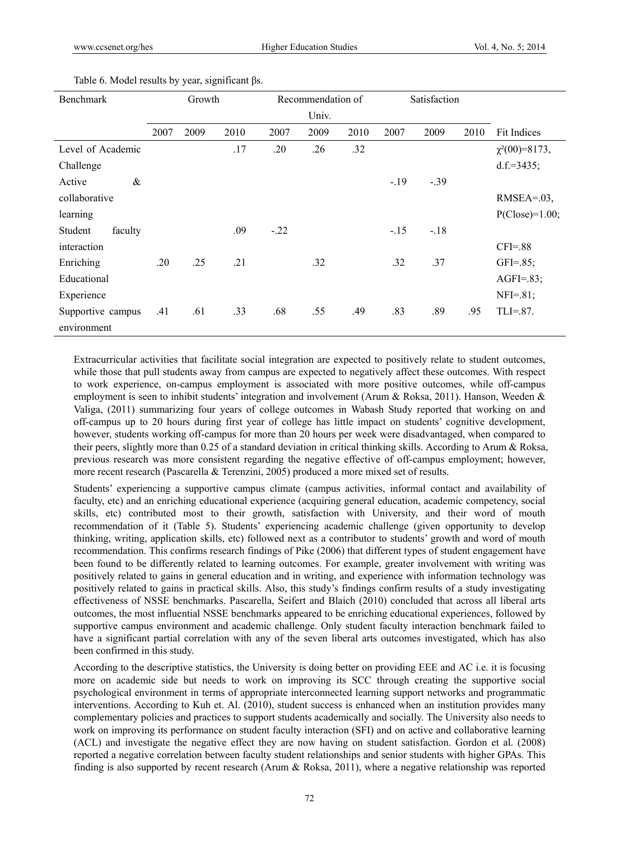| <b>Benchmark</b>   | Growth |      |      | Recommendation of |       |      | Satisfaction |         |      |                     |
|--------------------|--------|------|------|-------------------|-------|------|--------------|---------|------|---------------------|
|                    |        |      |      |                   | Univ. |      |              |         |      |                     |
|                    | 2007   | 2009 | 2010 | 2007              | 2009  | 2010 | 2007         | 2009    | 2010 | <b>Fit Indices</b>  |
| Level of Academic  |        |      | .17  | .20               | .26   | .32  |              |         |      | $\chi^2(00)=8173$ , |
| Challenge          |        |      |      |                   |       |      |              |         |      | d.f.= $3435$ ;      |
| Active<br>&        |        |      |      |                   |       |      | $-19$        | $-0.39$ |      |                     |
| collaborative      |        |      |      |                   |       |      |              |         |      | $RMSEA = .03$ ,     |
| learning           |        |      |      |                   |       |      |              |         |      | $P(Close)=1.00;$    |
| Student<br>faculty |        |      | .09  | $-22$             |       |      | $-.15$       | $-.18$  |      |                     |
| interaction        |        |      |      |                   |       |      |              |         |      | $CFI = .88$         |
| Enriching          | .20    | .25  | .21  |                   | .32   |      | .32          | .37     |      | $GFI = 0.85;$       |
| Educational        |        |      |      |                   |       |      |              |         |      | $AGFI = .83;$       |
| Experience         |        |      |      |                   |       |      |              |         |      | $NFI = .81;$        |
| Supportive campus  | .41    | .61  | .33  | .68               | .55   | .49  | .83          | .89     | .95  | $TLI=.87$ .         |
| environment        |        |      |      |                   |       |      |              |         |      |                     |

Table 6. Model results by year, significant βs.

Extracurricular activities that facilitate social integration are expected to positively relate to student outcomes, while those that pull students away from campus are expected to negatively affect these outcomes. With respect to work experience, on-campus employment is associated with more positive outcomes, while off-campus employment is seen to inhibit students' integration and involvement (Arum & Roksa, 2011). Hanson, Weeden & Valiga, (2011) summarizing four years of college outcomes in Wabash Study reported that working on and off-campus up to 20 hours during first year of college has little impact on students' cognitive development, however, students working off-campus for more than 20 hours per week were disadvantaged, when compared to their peers, slightly more than 0.25 of a standard deviation in critical thinking skills. According to Arum & Roksa, previous research was more consistent regarding the negative effective of off-campus employment; however, more recent research (Pascarella & Terenzini, 2005) produced a more mixed set of results.

Students' experiencing a supportive campus climate (campus activities, informal contact and availability of faculty, etc) and an enriching educational experience (acquiring general education, academic competency, social skills, etc) contributed most to their growth, satisfaction with University, and their word of mouth recommendation of it (Table 5). Students' experiencing academic challenge (given opportunity to develop thinking, writing, application skills, etc) followed next as a contributor to students' growth and word of mouth recommendation. This confirms research findings of Pike (2006) that different types of student engagement have been found to be differently related to learning outcomes. For example, greater involvement with writing was positively related to gains in general education and in writing, and experience with information technology was positively related to gains in practical skills. Also, this study's findings confirm results of a study investigating effectiveness of NSSE benchmarks. Pascarella, Seifert and Blaich (2010) concluded that across all liberal arts outcomes, the most influential NSSE benchmarks appeared to be enriching educational experiences, followed by supportive campus environment and academic challenge. Only student faculty interaction benchmark failed to have a significant partial correlation with any of the seven liberal arts outcomes investigated, which has also been confirmed in this study.

According to the descriptive statistics, the University is doing better on providing EEE and AC i.e. it is focusing more on academic side but needs to work on improving its SCC through creating the supportive social psychological environment in terms of appropriate interconnected learning support networks and programmatic interventions. According to Kuh et. Al. (2010), student success is enhanced when an institution provides many complementary policies and practices to support students academically and socially. The University also needs to work on improving its performance on student faculty interaction (SFI) and on active and collaborative learning (ACL) and investigate the negative effect they are now having on student satisfaction. Gordon et al. (2008) reported a negative correlation between faculty student relationships and senior students with higher GPAs. This finding is also supported by recent research (Arum & Roksa, 2011), where a negative relationship was reported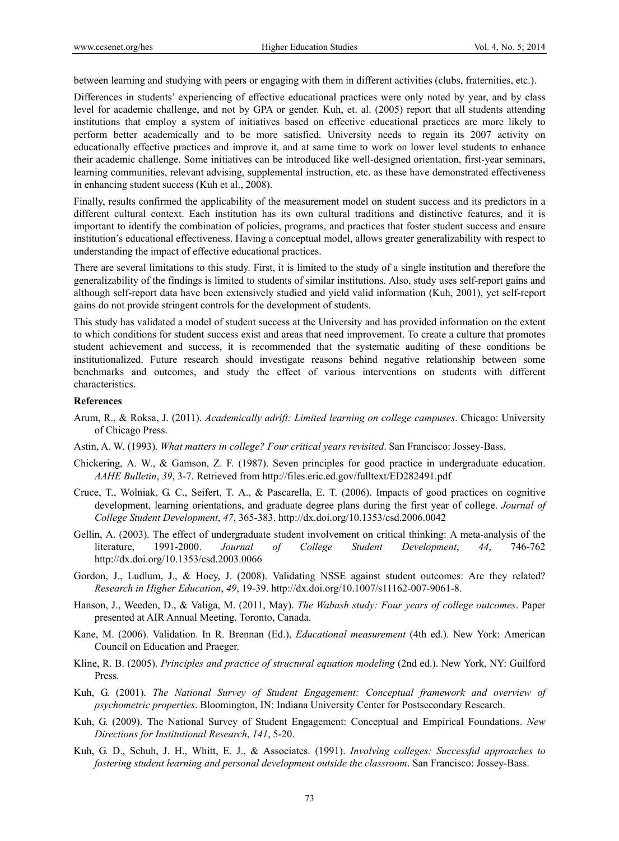between learning and studying with peers or engaging with them in different activities (clubs, fraternities, etc.).

Differences in students' experiencing of effective educational practices were only noted by year, and by class level for academic challenge, and not by GPA or gender. Kuh, et. al. (2005) report that all students attending institutions that employ a system of initiatives based on effective educational practices are more likely to perform better academically and to be more satisfied. University needs to regain its 2007 activity on educationally effective practices and improve it, and at same time to work on lower level students to enhance their academic challenge. Some initiatives can be introduced like well-designed orientation, first-year seminars, learning communities, relevant advising, supplemental instruction, etc. as these have demonstrated effectiveness in enhancing student success (Kuh et al., 2008).

Finally, results confirmed the applicability of the measurement model on student success and its predictors in a different cultural context. Each institution has its own cultural traditions and distinctive features, and it is important to identify the combination of policies, programs, and practices that foster student success and ensure institution's educational effectiveness. Having a conceptual model, allows greater generalizability with respect to understanding the impact of effective educational practices.

There are several limitations to this study. First, it is limited to the study of a single institution and therefore the generalizability of the findings is limited to students of similar institutions. Also, study uses self-report gains and although self-report data have been extensively studied and yield valid information (Kuh, 2001), yet self-report gains do not provide stringent controls for the development of students.

This study has validated a model of student success at the University and has provided information on the extent to which conditions for student success exist and areas that need improvement. To create a culture that promotes student achievement and success, it is recommended that the systematic auditing of these conditions be institutionalized. Future research should investigate reasons behind negative relationship between some benchmarks and outcomes, and study the effect of various interventions on students with different characteristics.

## **References**

- Arum, R., & Roksa, J. (2011). *Academically adrift: Limited learning on college campuses*. Chicago: University of Chicago Press.
- Astin, A. W. (1993). *What matters in college? Four critical years revisited*. San Francisco: Jossey-Bass.
- Chickering, A. W., & Gamson, Z. F. (1987). Seven principles for good practice in undergraduate education. *AAHE Bulletin*, *39*, 3-7. Retrieved from http://files.eric.ed.gov/fulltext/ED282491.pdf
- Cruce, T., Wolniak, G. C., Seifert, T. A., & Pascarella, E. T. (2006). Impacts of good practices on cognitive development, learning orientations, and graduate degree plans during the first year of college. *Journal of College Student Development*, *47*, 365-383. http://dx.doi.org/10.1353/csd.2006.0042
- Gellin, A. (2003). The effect of undergraduate student involvement on critical thinking: A meta-analysis of the literature, 1991-2000. *Journal of College Student Development*, *44*, 746-762 http://dx.doi.org/10.1353/csd.2003.0066
- Gordon, J., Ludlum, J., & Hoey, J. (2008). Validating NSSE against student outcomes: Are they related? *Research in Higher Education*, *49*, 19-39. http://dx.doi.org/10.1007/s11162-007-9061-8.
- Hanson, J., Weeden, D., & Valiga, M. (2011, May). *The Wabash study: Four years of college outcomes*. Paper presented at AIR Annual Meeting, Toronto, Canada.
- Kane, M. (2006). Validation. In R. Brennan (Ed.), *Educational measurement* (4th ed.). New York: American Council on Education and Praeger.
- Kline, R. B. (2005). *Principles and practice of structural equation modeling* (2nd ed.). New York, NY: Guilford Press.
- Kuh, G. (2001). *The National Survey of Student Engagement: Conceptual framework and overview of psychometric properties*. Bloomington, IN: Indiana University Center for Postsecondary Research.
- Kuh, G. (2009). The National Survey of Student Engagement: Conceptual and Empirical Foundations. *New Directions for Institutional Research*, *141*, 5-20.
- Kuh, G. D., Schuh, J. H., Whitt, E. J., & Associates. (1991). *Involving colleges: Successful approaches to fostering student learning and personal development outside the classroom*. San Francisco: Jossey-Bass.